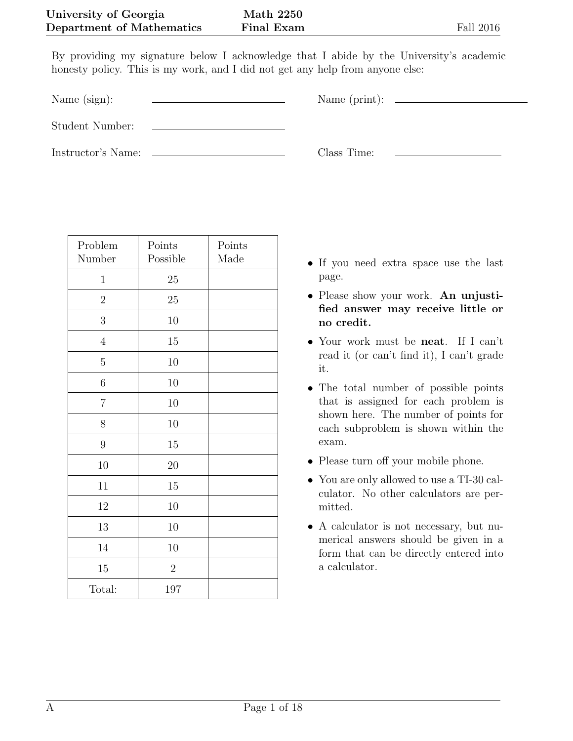By providing my signature below I acknowledge that I abide by the University's academic honesty policy. This is my work, and I did not get any help from anyone else:

Name (sign):  $\qquad \qquad \qquad$  Name (print):

Student Number:

Instructor's Name: Class Time:

| Problem<br>Number | Points<br>Possible | Points<br>Made |
|-------------------|--------------------|----------------|
| $\mathbf{1}$      | 25                 |                |
| $\overline{2}$    | 25                 |                |
| 3                 | 10                 |                |
| $\sqrt{4}$        | 15                 |                |
| $\overline{5}$    | 10                 |                |
| $\sqrt{6}$        | $10\,$             |                |
| $\overline{7}$    | 10                 |                |
| 8                 | 10                 |                |
| $\overline{9}$    | $15\,$             |                |
| 10                | 20                 |                |
| 11                | $15\,$             |                |
| 12                | $10\,$             |                |
| 13                | $10\,$             |                |
| 14                | 10                 |                |
| 15                | $\sqrt{2}$         |                |
| Total:            | 197                |                |

- *•* If you need extra space use the last page.
- *•* Please show your work. **An unjustified answer may receive little or no credit.**
- *•* Your work must be **neat**. If I can't read it (or can't find it), I can't grade it.
- *•* The total number of possible points that is assigned for each problem is shown here. The number of points for each subproblem is shown within the exam.
- *•* Please turn off your mobile phone.
- *•* You are only allowed to use a TI-30 calculator. No other calculators are permitted.
- A calculator is not necessary, but numerical answers should be given in a form that can be directly entered into a calculator.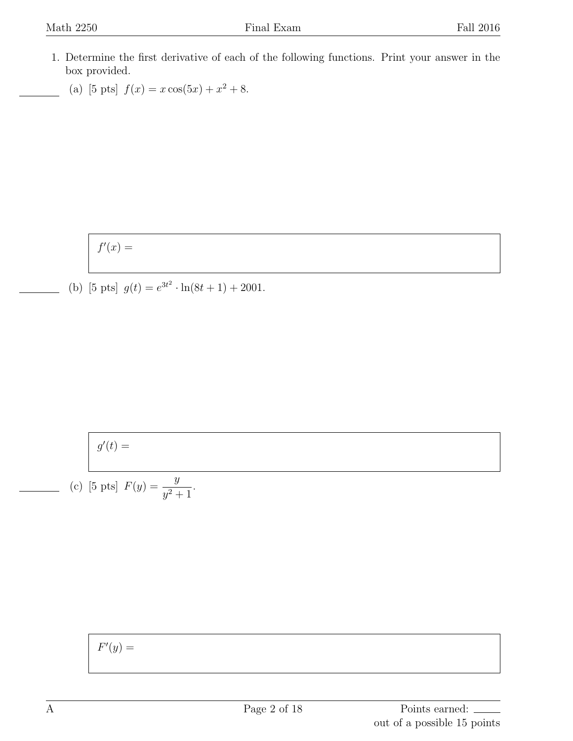- 1. Determine the first derivative of each of the following functions. Print your answer in the box provided.
	- (a) [5 pts]  $f(x) = x \cos(5x) + x^2 + 8$ .

 $f'(x) =$ 

(b) [5 pts]  $g(t) = e^{3t^2} \cdot \ln(8t+1) + 2001$ .

$$
g'(t) =
$$

(c) [5 pts] 
$$
F(y) = \frac{y}{y^2 + 1}
$$
.

 $F'(y) =$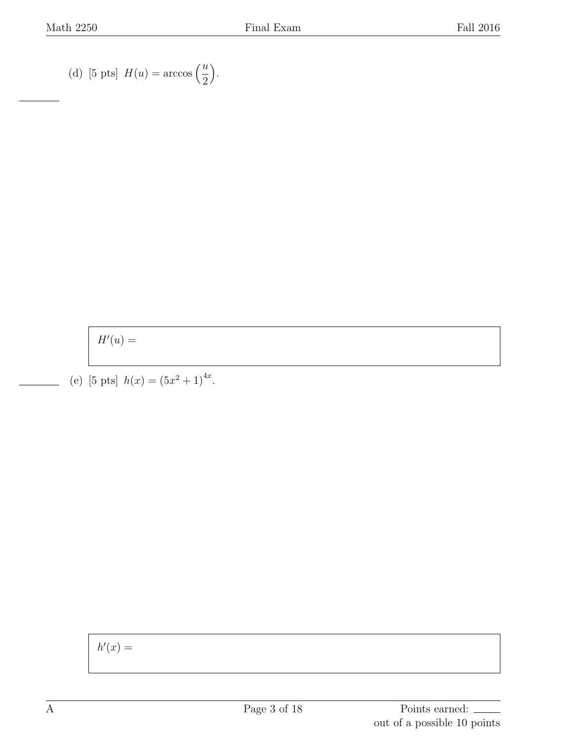(d) [5 pts]  $H(u) = \arccos\left(\frac{u}{2}\right)$ 2 ) .

 $H'(u) =$ 

(e) [5 pts]  $h(x) = (5x^2 + 1)^{4x}$ .

 $h'(x) =$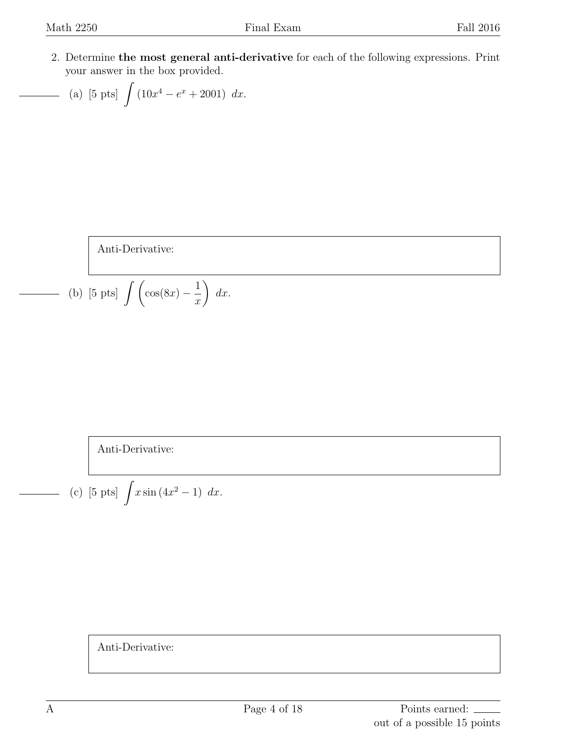2. Determine **the most general anti-derivative** for each of the following expressions. Print your answer in the box provided.

(a) [5 pts] 
$$
\int (10x^4 - e^x + 2001) dx
$$
.

Anti-Derivative:

(b) [5 pts] 
$$
\int \left(\cos(8x) - \frac{1}{x}\right) dx.
$$

Anti-Derivative:

(c) [5 pts] 
$$
\int x \sin(4x^2 - 1) dx
$$
.

Anti-Derivative: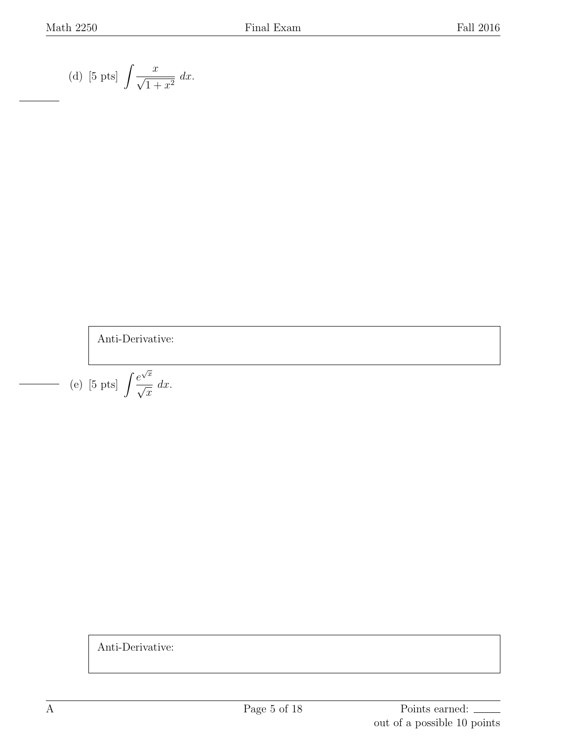(d) [5 pts] 
$$
\int \frac{x}{\sqrt{1+x^2}} dx.
$$

Anti-Derivative:

(e) [5 pts] 
$$
\int \frac{e^{\sqrt{x}}}{\sqrt{x}} dx
$$
.

Anti-Derivative: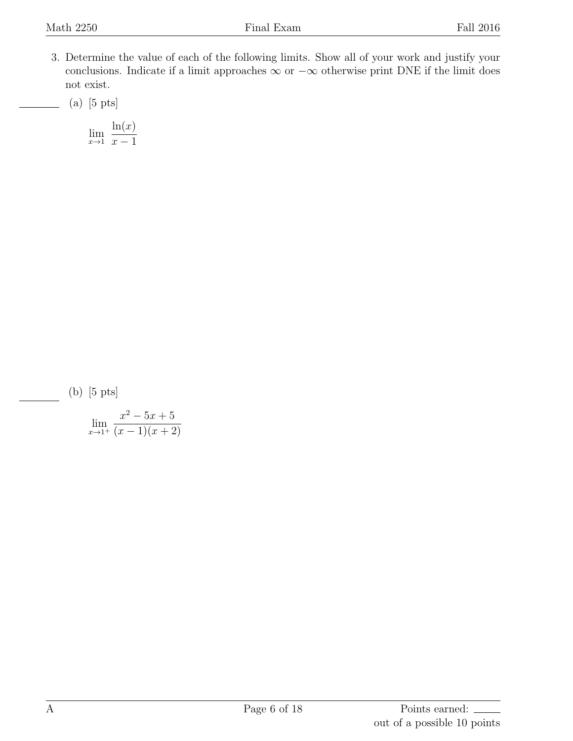3. Determine the value of each of the following limits. Show all of your work and justify your conclusions. Indicate if a limit approaches *∞* or *−∞* otherwise print DNE if the limit does not exist.

(a) [5 pts]

$$
\lim_{x \to 1} \frac{\ln(x)}{x - 1}
$$

(b) [5 pts]

$$
\lim_{x \to 1^+} \frac{x^2 - 5x + 5}{(x - 1)(x + 2)}
$$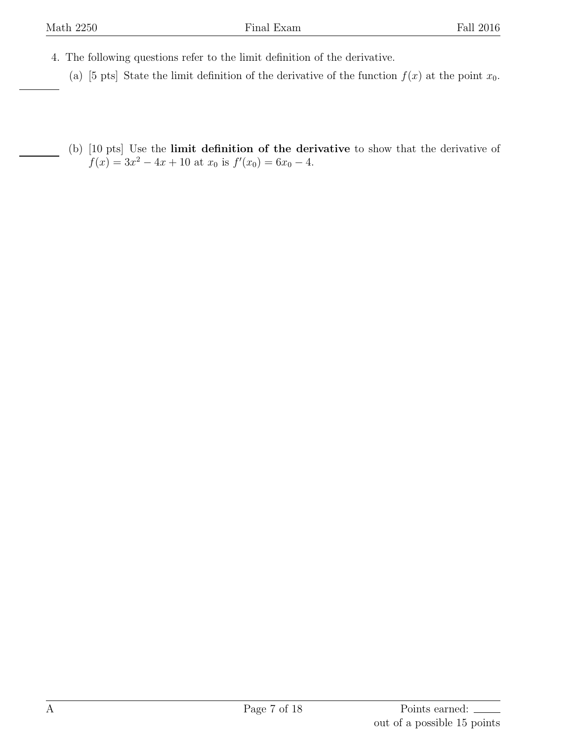- 4. The following questions refer to the limit definition of the derivative.
	- (a) [5 pts] State the limit definition of the derivative of the function  $f(x)$  at the point  $x_0$ .
	- (b) [10 pts] Use the **limit definition of the derivative** to show that the derivative of  $f(x) = 3x^2 - 4x + 10$  at  $x_0$  is  $f'(x_0) = 6x_0 - 4$ .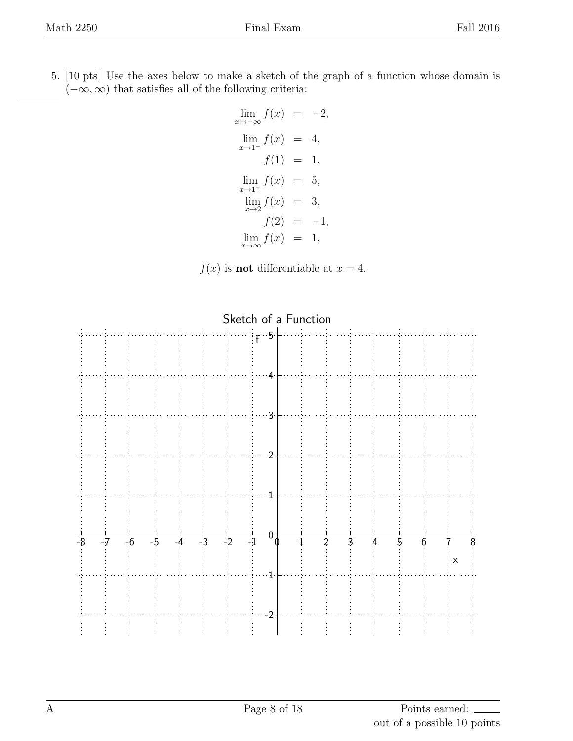5. [10 pts] Use the axes below to make a sketch of the graph of a function whose domain is (*−∞,∞*) that satisfies all of the following criteria:

$$
\lim_{x \to -\infty} f(x) = -2,
$$
  
\n
$$
\lim_{x \to 1^{-}} f(x) = 4,
$$
  
\n
$$
f(1) = 1,
$$
  
\n
$$
\lim_{x \to 1^{+}} f(x) = 5,
$$
  
\n
$$
\lim_{x \to 2} f(x) = 3,
$$
  
\n
$$
f(2) = -1,
$$
  
\n
$$
\lim_{x \to \infty} f(x) = 1,
$$

 $f(x)$  is **not** differentiable at  $x = 4$ .

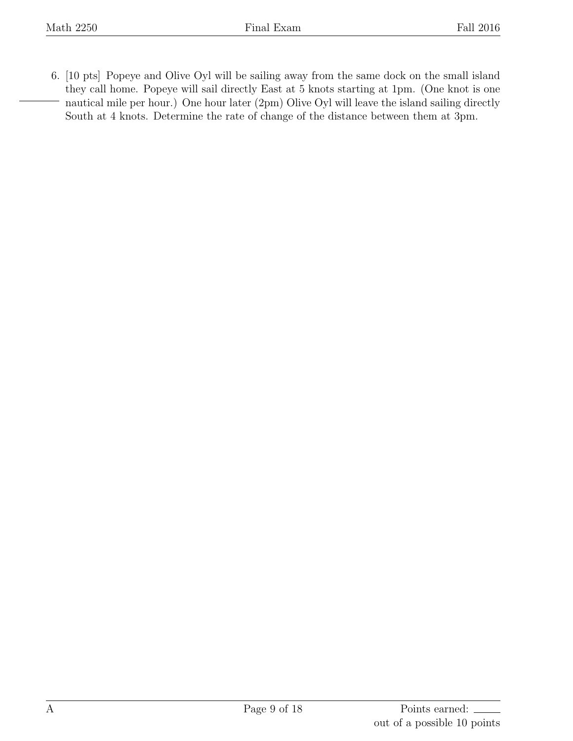6. [10 pts] Popeye and Olive Oyl will be sailing away from the same dock on the small island they call home. Popeye will sail directly East at 5 knots starting at 1pm. (One knot is one nautical mile per hour.) One hour later (2pm) Olive Oyl will leave the island sailing directly South at 4 knots. Determine the rate of change of the distance between them at 3pm.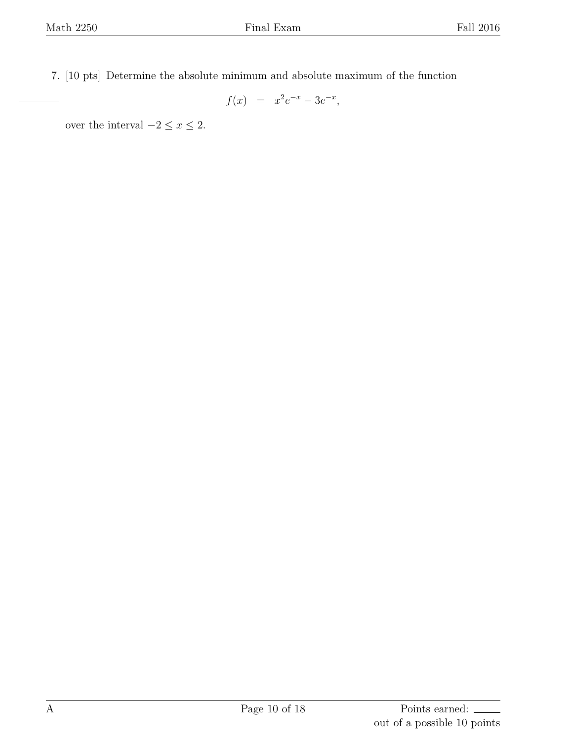7. [10 pts] Determine the absolute minimum and absolute maximum of the function

$$
f(x) = x^2 e^{-x} - 3e^{-x},
$$

over the interval  $-2 \le x \le 2$ .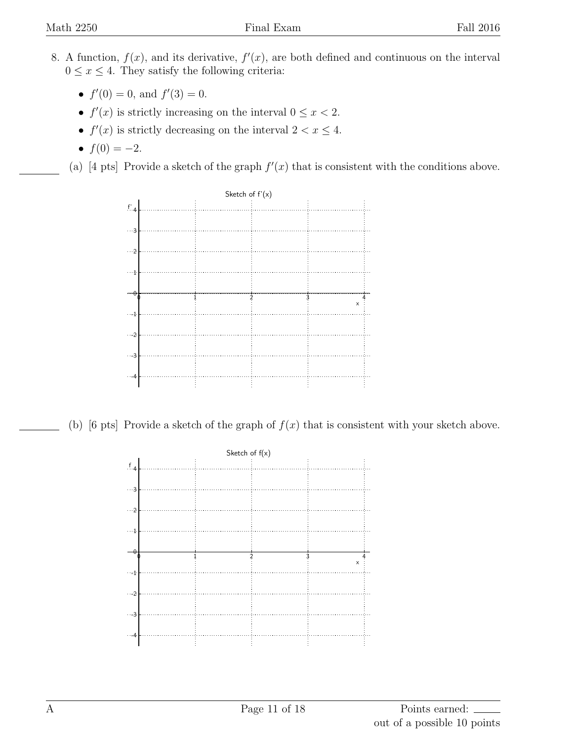- 8. A function,  $f(x)$ , and its derivative,  $f'(x)$ , are both defined and continuous on the interval  $0 \leq x \leq 4$ . They satisfy the following criteria:
	- $f'(0) = 0$ , and  $f'(3) = 0$ .
	- $f'(x)$  is strictly increasing on the interval  $0 \le x < 2$ .
	- $f'(x)$  is strictly decreasing on the interval  $2 < x \leq 4$ .
	- $f(0) = -2$ .

(a) [4 pts] Provide a sketch of the graph  $f'(x)$  that is consistent with the conditions above.



(b) [6 pts] Provide a sketch of the graph of  $f(x)$  that is consistent with your sketch above.

| Sketch of $f(x)$ |  |  |  |          |
|------------------|--|--|--|----------|
| $f_{4}$          |  |  |  |          |
|                  |  |  |  |          |
| $\cdots$ 3       |  |  |  |          |
| $\cdots$ 2       |  |  |  |          |
| $\cdots$ 1.      |  |  |  |          |
|                  |  |  |  |          |
| $\theta$         |  |  |  | $\times$ |
| $\cdots$ 4       |  |  |  |          |
| $\cdots$ -2      |  |  |  |          |
|                  |  |  |  |          |
| $\cdots$ 3       |  |  |  |          |
| $\cdots$ 4       |  |  |  |          |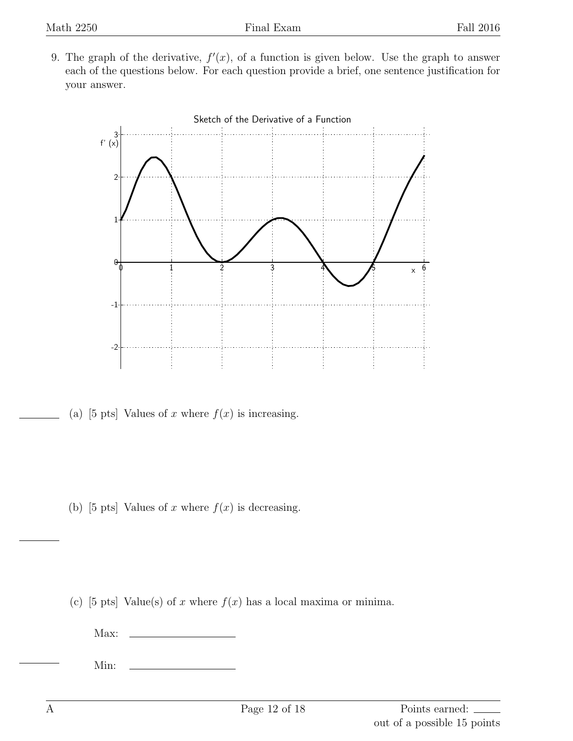9. The graph of the derivative,  $f'(x)$ , of a function is given below. Use the graph to answer each of the questions below. For each question provide a brief, one sentence justification for your answer.



(a) [5 pts] Values of *x* where  $f(x)$  is increasing.

(b) [5 pts] Values of *x* where  $f(x)$  is decreasing.

(c) [5 pts] Value(s) of *x* where  $f(x)$  has a local maxima or minima.

Max:

Min: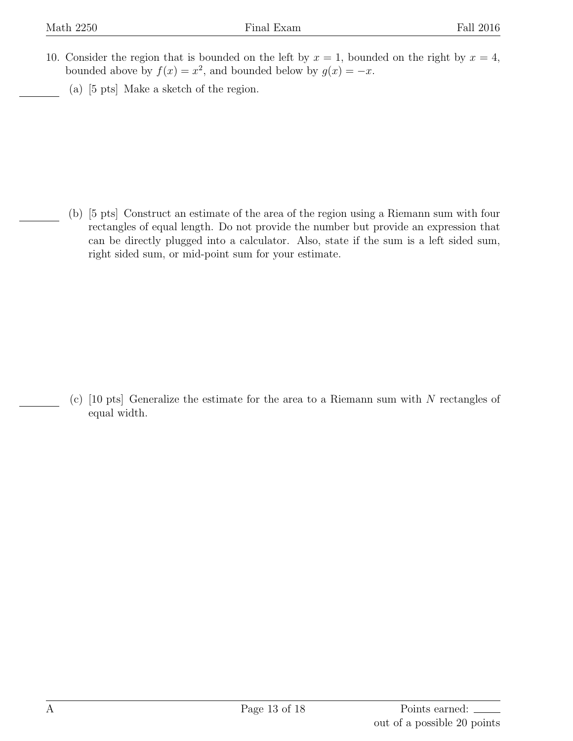- 10. Consider the region that is bounded on the left by  $x = 1$ , bounded on the right by  $x = 4$ , bounded above by  $f(x) = x^2$ , and bounded below by  $g(x) = -x$ .
	- (a) [5 pts] Make a sketch of the region.

(b) [5 pts] Construct an estimate of the area of the region using a Riemann sum with four rectangles of equal length. Do not provide the number but provide an expression that can be directly plugged into a calculator. Also, state if the sum is a left sided sum, right sided sum, or mid-point sum for your estimate.

(c) [10 pts] Generalize the estimate for the area to a Riemann sum with *N* rectangles of equal width.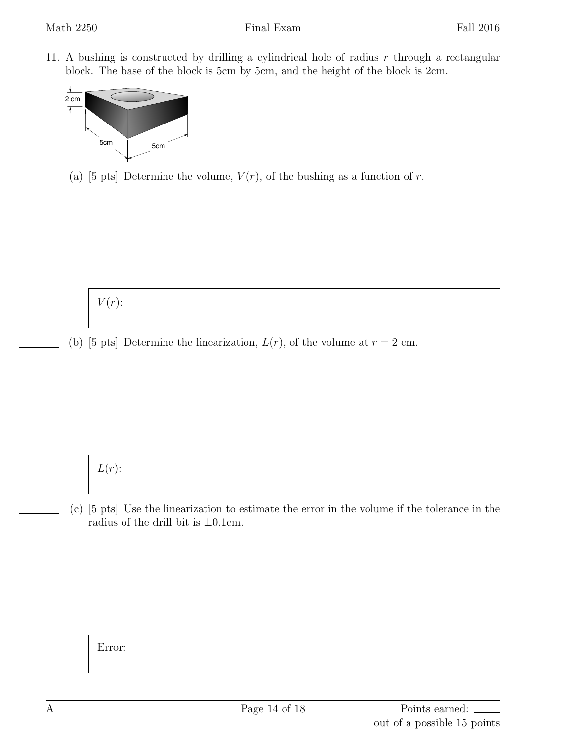11. A bushing is constructed by drilling a cylindrical hole of radius *r* through a rectangular block. The base of the block is 5cm by 5cm, and the height of the block is 2cm.



(a) [5 pts] Determine the volume,  $V(r)$ , of the bushing as a function of *r*.

 $V(r)$ :

(b) [5 pts] Determine the linearization,  $L(r)$ , of the volume at  $r = 2$  cm.

*L*(*r*):

(c) [5 pts] Use the linearization to estimate the error in the volume if the tolerance in the radius of the drill bit is *±*0*.*1cm.

Error: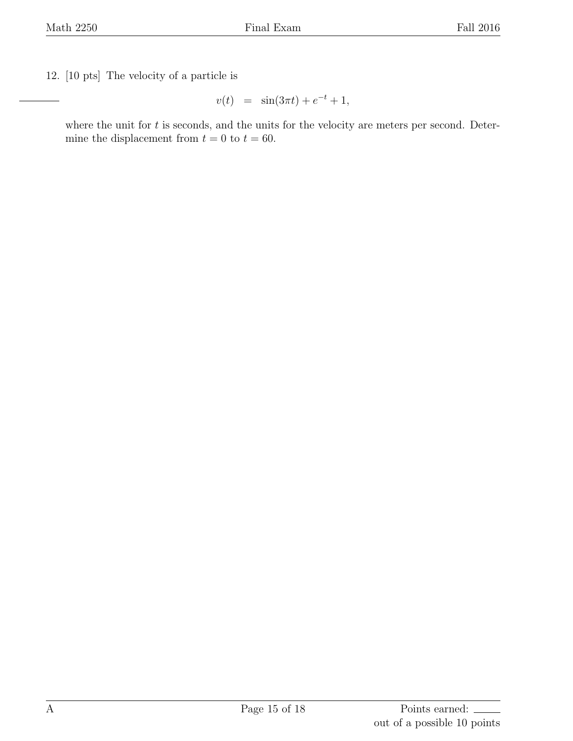12. [10 pts] The velocity of a particle is

$$
v(t) = \sin(3\pi t) + e^{-t} + 1,
$$

where the unit for *t* is seconds, and the units for the velocity are meters per second. Determine the displacement from  $t = 0$  to  $t = 60$ .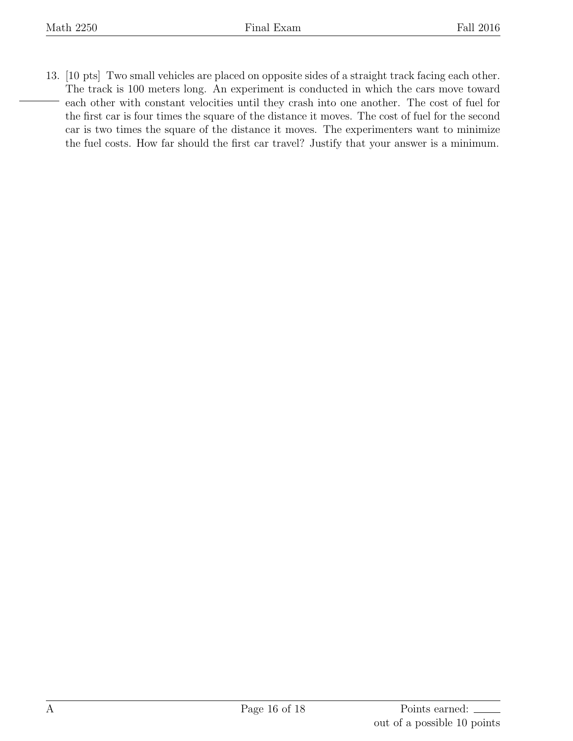13. [10 pts] Two small vehicles are placed on opposite sides of a straight track facing each other. The track is 100 meters long. An experiment is conducted in which the cars move toward each other with constant velocities until they crash into one another. The cost of fuel for the first car is four times the square of the distance it moves. The cost of fuel for the second car is two times the square of the distance it moves. The experimenters want to minimize the fuel costs. How far should the first car travel? Justify that your answer is a minimum.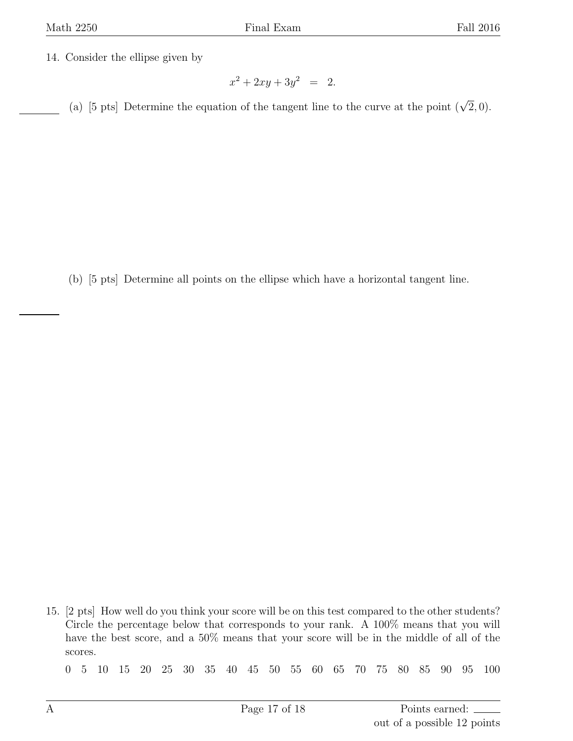14. Consider the ellipse given by

$$
x^2 + 2xy + 3y^2 = 2.
$$

(a) [5 pts] Determine the equation of the tangent line to the curve at the point  $(\sqrt{2}, 0)$ .

(b) [5 pts] Determine all points on the ellipse which have a horizontal tangent line.

15. [2 pts] How well do you think your score will be on this test compared to the other students? Circle the percentage below that corresponds to your rank. A 100% means that you will have the best score, and a 50% means that your score will be in the middle of all of the scores.

0 5 10 15 20 25 30 35 40 45 50 55 60 65 70 75 80 85 90 95 100